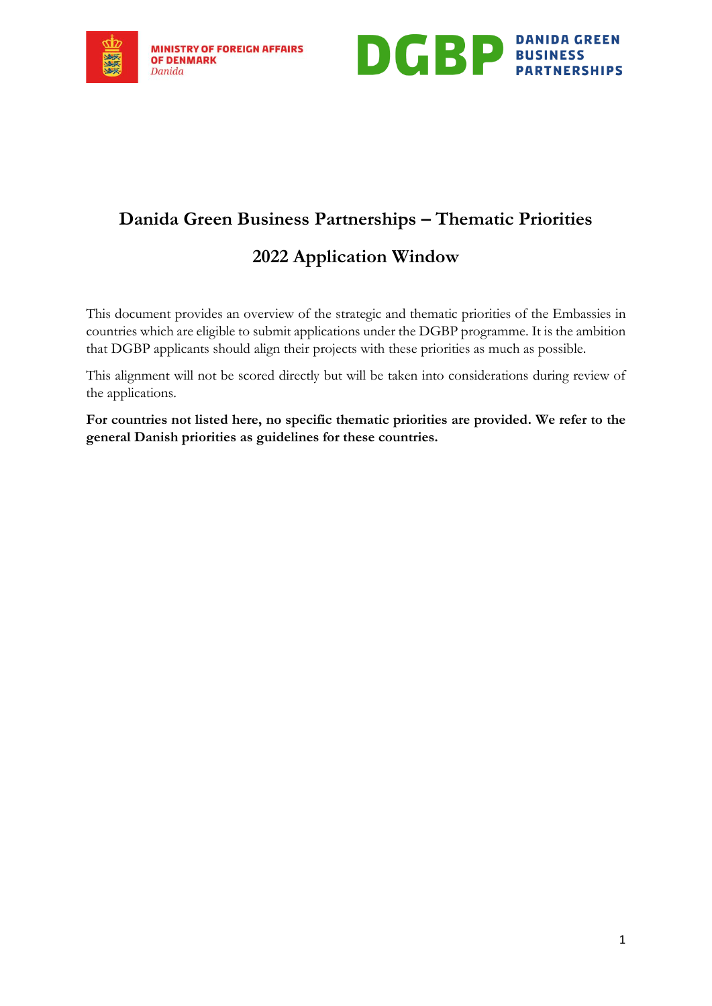



## **Danida Green Business Partnerships – Thematic Priorities**

## **2022 Application Window**

This document provides an overview of the strategic and thematic priorities of the Embassies in countries which are eligible to submit applications under the DGBP programme. It is the ambition that DGBP applicants should align their projects with these priorities as much as possible.

This alignment will not be scored directly but will be taken into considerations during review of the applications.

**For countries not listed here, no specific thematic priorities are provided. We refer to the general Danish priorities as guidelines for these countries.**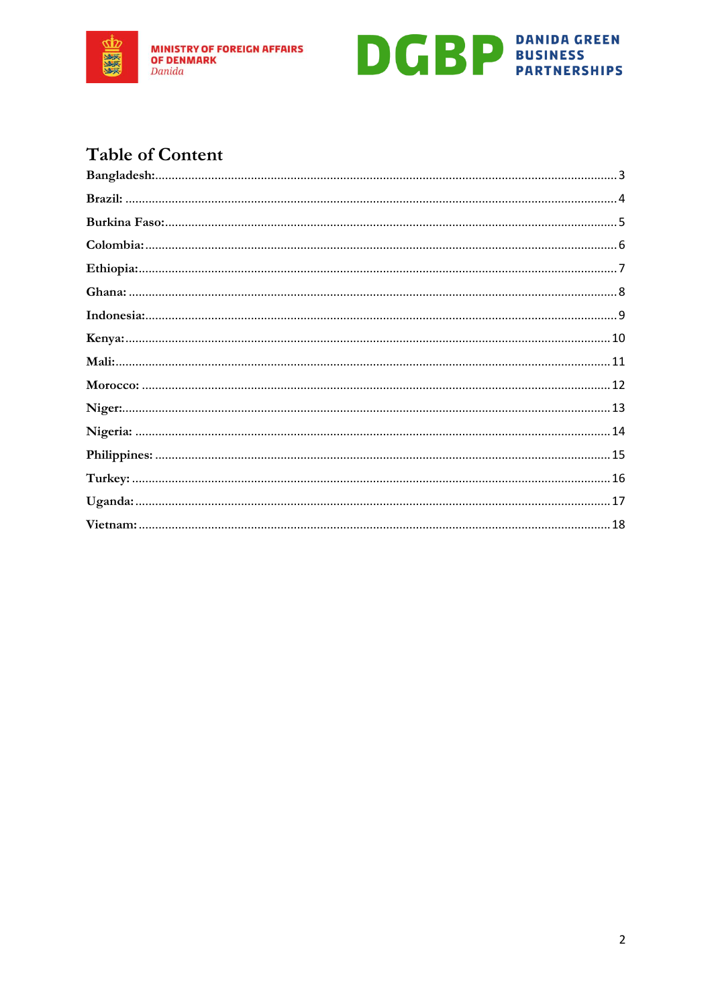



## **Table of Content**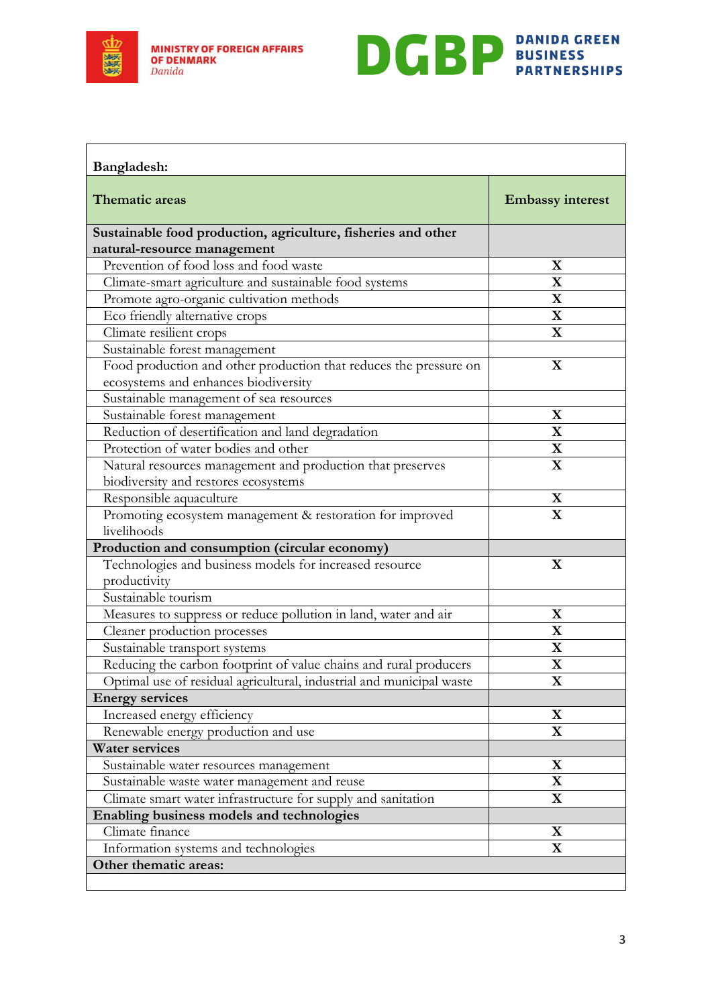



<span id="page-2-0"></span>

| Bangladesh:                                                                                               |                         |
|-----------------------------------------------------------------------------------------------------------|-------------------------|
| <b>Thematic areas</b>                                                                                     | <b>Embassy interest</b> |
| Sustainable food production, agriculture, fisheries and other                                             |                         |
| natural-resource management                                                                               |                         |
| Prevention of food loss and food waste                                                                    | X                       |
| Climate-smart agriculture and sustainable food systems                                                    | $\mathbf X$             |
| Promote agro-organic cultivation methods                                                                  | $\mathbf X$             |
| Eco friendly alternative crops                                                                            | $\mathbf X$             |
| Climate resilient crops                                                                                   | $\mathbf X$             |
| Sustainable forest management                                                                             |                         |
| Food production and other production that reduces the pressure on<br>ecosystems and enhances biodiversity | $\mathbf X$             |
| Sustainable management of sea resources                                                                   |                         |
| Sustainable forest management                                                                             | $\mathbf X$             |
| Reduction of desertification and land degradation                                                         | $\mathbf X$             |
| Protection of water bodies and other                                                                      | $\mathbf X$             |
| Natural resources management and production that preserves                                                | $\mathbf X$             |
| biodiversity and restores ecosystems                                                                      |                         |
| Responsible aquaculture                                                                                   | $\mathbf X$             |
| Promoting ecosystem management & restoration for improved                                                 | $\mathbf X$             |
| livelihoods                                                                                               |                         |
| Production and consumption (circular economy)                                                             |                         |
| Technologies and business models for increased resource                                                   | $\mathbf X$             |
| productivity                                                                                              |                         |
| Sustainable tourism                                                                                       |                         |
| Measures to suppress or reduce pollution in land, water and air                                           | $\mathbf X$             |
| Cleaner production processes                                                                              | $\mathbf X$             |
| Sustainable transport systems                                                                             | $\mathbf X$             |
| Reducing the carbon footprint of value chains and rural producers                                         | $\overline{\mathbf{X}}$ |
| Optimal use of residual agricultural, industrial and municipal waste                                      | $\bf{X}$                |
| <b>Energy services</b>                                                                                    |                         |
| Increased energy efficiency                                                                               | $\mathbf X$             |
| Renewable energy production and use                                                                       | $\mathbf X$             |
| <b>Water services</b>                                                                                     |                         |
| Sustainable water resources management                                                                    | $\mathbf X$             |
| Sustainable waste water management and reuse                                                              | $\mathbf X$             |
| Climate smart water infrastructure for supply and sanitation                                              | $\mathbf X$             |
| Enabling business models and technologies                                                                 |                         |
| Climate finance                                                                                           | X                       |
| Information systems and technologies                                                                      | $\mathbf X$             |
| Other thematic areas:                                                                                     |                         |
|                                                                                                           |                         |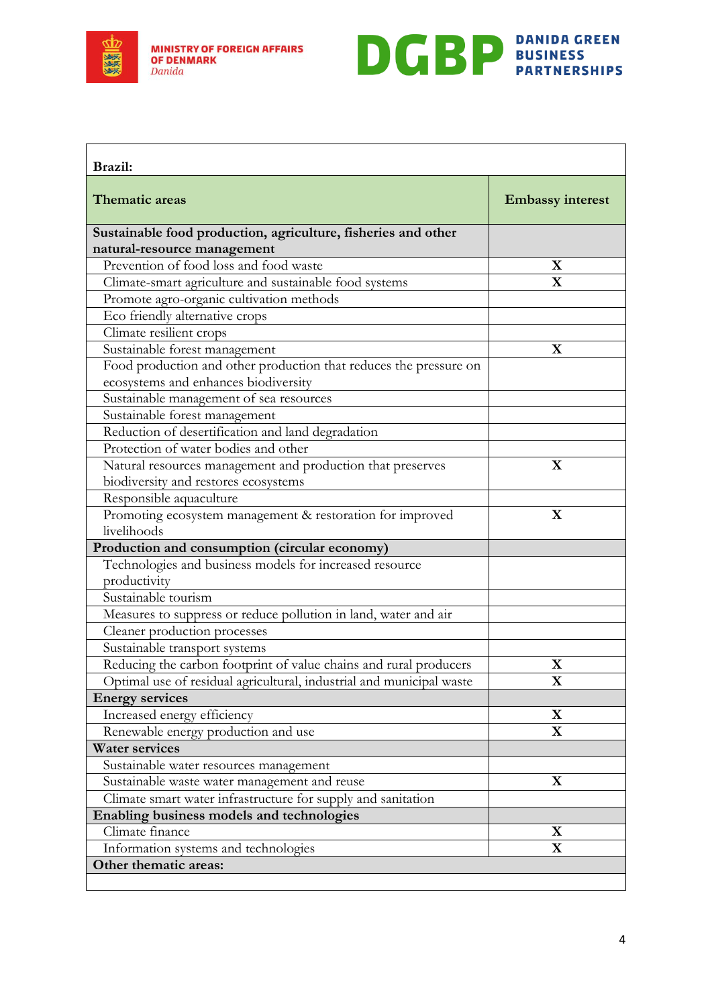



<span id="page-3-0"></span>

| Brazil:                                                               |                         |
|-----------------------------------------------------------------------|-------------------------|
| <b>Thematic areas</b>                                                 | <b>Embassy interest</b> |
| Sustainable food production, agriculture, fisheries and other         |                         |
| natural-resource management<br>Prevention of food loss and food waste | X                       |
|                                                                       | $\mathbf X$             |
| Climate-smart agriculture and sustainable food systems                |                         |
| Promote agro-organic cultivation methods                              |                         |
| Eco friendly alternative crops                                        |                         |
| Climate resilient crops                                               |                         |
| Sustainable forest management                                         | $\mathbf X$             |
| Food production and other production that reduces the pressure on     |                         |
| ecosystems and enhances biodiversity                                  |                         |
| Sustainable management of sea resources                               |                         |
| Sustainable forest management                                         |                         |
| Reduction of desertification and land degradation                     |                         |
| Protection of water bodies and other                                  |                         |
| Natural resources management and production that preserves            | $\mathbf X$             |
| biodiversity and restores ecosystems                                  |                         |
| Responsible aquaculture                                               |                         |
| Promoting ecosystem management & restoration for improved             | $\mathbf X$             |
| livelihoods                                                           |                         |
| Production and consumption (circular economy)                         |                         |
| Technologies and business models for increased resource               |                         |
| productivity                                                          |                         |
| Sustainable tourism                                                   |                         |
| Measures to suppress or reduce pollution in land, water and air       |                         |
| Cleaner production processes                                          |                         |
| Sustainable transport systems                                         |                         |
| Reducing the carbon footprint of value chains and rural producers     | $\mathbf X$             |
| Optimal use of residual agricultural, industrial and municipal waste  | $\bf{X}$                |
| <b>Energy services</b>                                                |                         |
| Increased energy efficiency                                           | $\mathbf X$             |
| Renewable energy production and use                                   | $\mathbf X$             |
| <b>Water services</b>                                                 |                         |
| Sustainable water resources management                                |                         |
| Sustainable waste water management and reuse                          | X                       |
| Climate smart water infrastructure for supply and sanitation          |                         |
| Enabling business models and technologies                             |                         |
| Climate finance                                                       | X                       |
| Information systems and technologies                                  | $\mathbf X$             |
| Other thematic areas:                                                 |                         |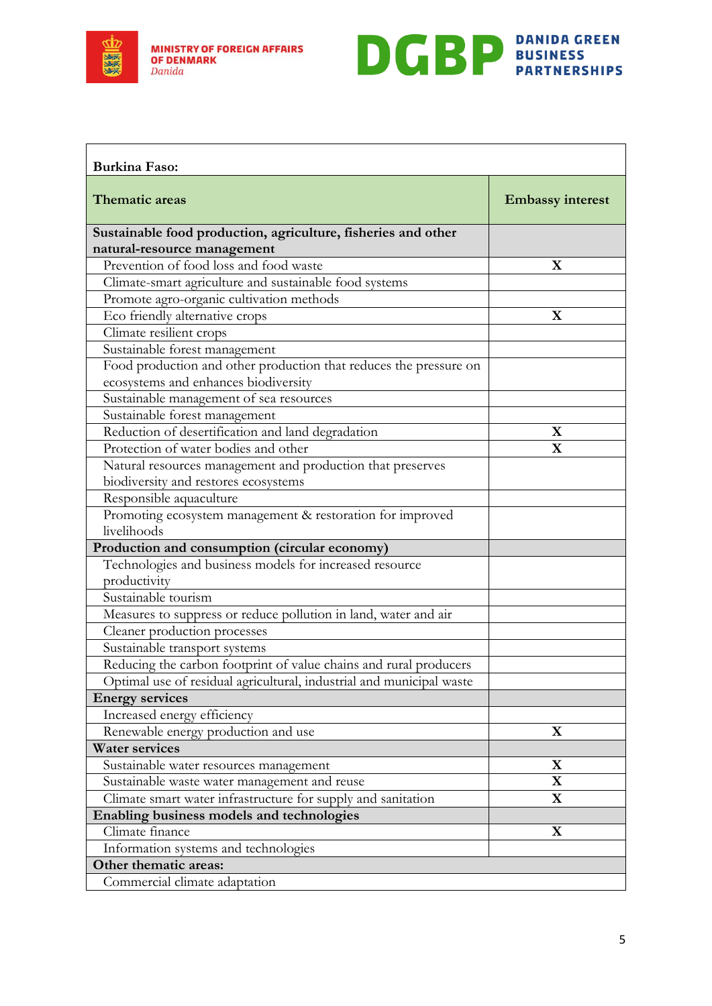



<span id="page-4-0"></span>

| <b>Burkina Faso:</b>                                                 |                         |
|----------------------------------------------------------------------|-------------------------|
| Thematic areas                                                       | <b>Embassy interest</b> |
| Sustainable food production, agriculture, fisheries and other        |                         |
| natural-resource management                                          |                         |
| Prevention of food loss and food waste                               | X                       |
| Climate-smart agriculture and sustainable food systems               |                         |
| Promote agro-organic cultivation methods                             |                         |
| Eco friendly alternative crops                                       | $\mathbf X$             |
| Climate resilient crops                                              |                         |
| Sustainable forest management                                        |                         |
| Food production and other production that reduces the pressure on    |                         |
| ecosystems and enhances biodiversity                                 |                         |
| Sustainable management of sea resources                              |                         |
| Sustainable forest management                                        |                         |
| Reduction of desertification and land degradation                    | $\mathbf X$             |
| Protection of water bodies and other                                 | $\mathbf X$             |
| Natural resources management and production that preserves           |                         |
| biodiversity and restores ecosystems                                 |                         |
| Responsible aquaculture                                              |                         |
| Promoting ecosystem management & restoration for improved            |                         |
| livelihoods                                                          |                         |
| Production and consumption (circular economy)                        |                         |
| Technologies and business models for increased resource              |                         |
| productivity                                                         |                         |
| Sustainable tourism                                                  |                         |
| Measures to suppress or reduce pollution in land, water and air      |                         |
| Cleaner production processes                                         |                         |
| Sustainable transport systems                                        |                         |
| Reducing the carbon footprint of value chains and rural producers    |                         |
| Optimal use of residual agricultural, industrial and municipal waste |                         |
| <b>Energy services</b>                                               |                         |
| Increased energy efficiency                                          |                         |
| Renewable energy production and use                                  | $\mathbf X$             |
| <b>Water services</b>                                                |                         |
| Sustainable water resources management                               | $\mathbf X$             |
| Sustainable waste water management and reuse                         | $\mathbf X$             |
| Climate smart water infrastructure for supply and sanitation         | $\mathbf X$             |
| Enabling business models and technologies                            |                         |
| Climate finance                                                      | $\mathbf X$             |
| Information systems and technologies                                 |                         |
| Other thematic areas:                                                |                         |
| Commercial climate adaptation                                        |                         |
|                                                                      |                         |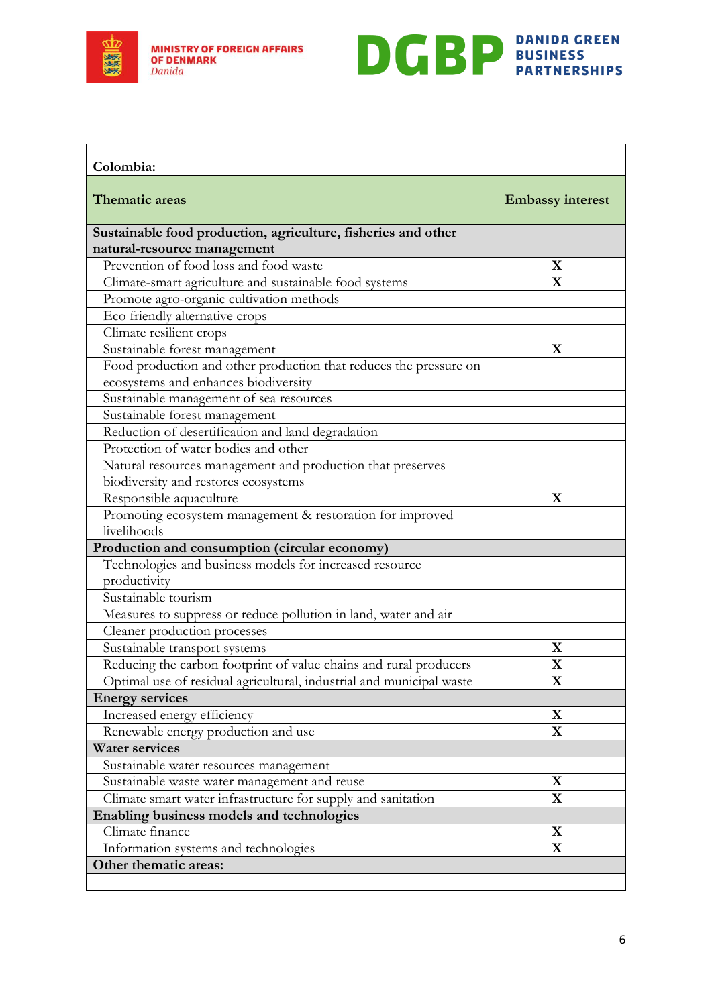



<span id="page-5-0"></span>

| Colombia:                                                            |                         |
|----------------------------------------------------------------------|-------------------------|
| Thematic areas                                                       | <b>Embassy interest</b> |
| Sustainable food production, agriculture, fisheries and other        |                         |
| natural-resource management                                          |                         |
| Prevention of food loss and food waste                               | X                       |
| Climate-smart agriculture and sustainable food systems               | $\mathbf X$             |
| Promote agro-organic cultivation methods                             |                         |
| Eco friendly alternative crops                                       |                         |
| Climate resilient crops                                              |                         |
| Sustainable forest management                                        | $\mathbf X$             |
| Food production and other production that reduces the pressure on    |                         |
| ecosystems and enhances biodiversity                                 |                         |
| Sustainable management of sea resources                              |                         |
| Sustainable forest management                                        |                         |
| Reduction of desertification and land degradation                    |                         |
| Protection of water bodies and other                                 |                         |
| Natural resources management and production that preserves           |                         |
| biodiversity and restores ecosystems                                 |                         |
| Responsible aquaculture                                              | $\mathbf X$             |
| Promoting ecosystem management & restoration for improved            |                         |
| livelihoods                                                          |                         |
| Production and consumption (circular economy)                        |                         |
| Technologies and business models for increased resource              |                         |
| productivity                                                         |                         |
| Sustainable tourism                                                  |                         |
| Measures to suppress or reduce pollution in land, water and air      |                         |
| Cleaner production processes                                         |                         |
| Sustainable transport systems                                        | X                       |
| Reducing the carbon footprint of value chains and rural producers    | $\mathbf X$             |
| Optimal use of residual agricultural, industrial and municipal waste | $\bf{X}$                |
| <b>Energy services</b>                                               |                         |
| Increased energy efficiency                                          | $\mathbf X$             |
| Renewable energy production and use                                  | $\mathbf X$             |
| <b>Water services</b>                                                |                         |
| Sustainable water resources management                               |                         |
| Sustainable waste water management and reuse                         | $\mathbf X$             |
| Climate smart water infrastructure for supply and sanitation         | $\mathbf X$             |
| Enabling business models and technologies                            |                         |
| Climate finance                                                      | X                       |
| Information systems and technologies                                 | $\mathbf X$             |
| Other thematic areas:                                                |                         |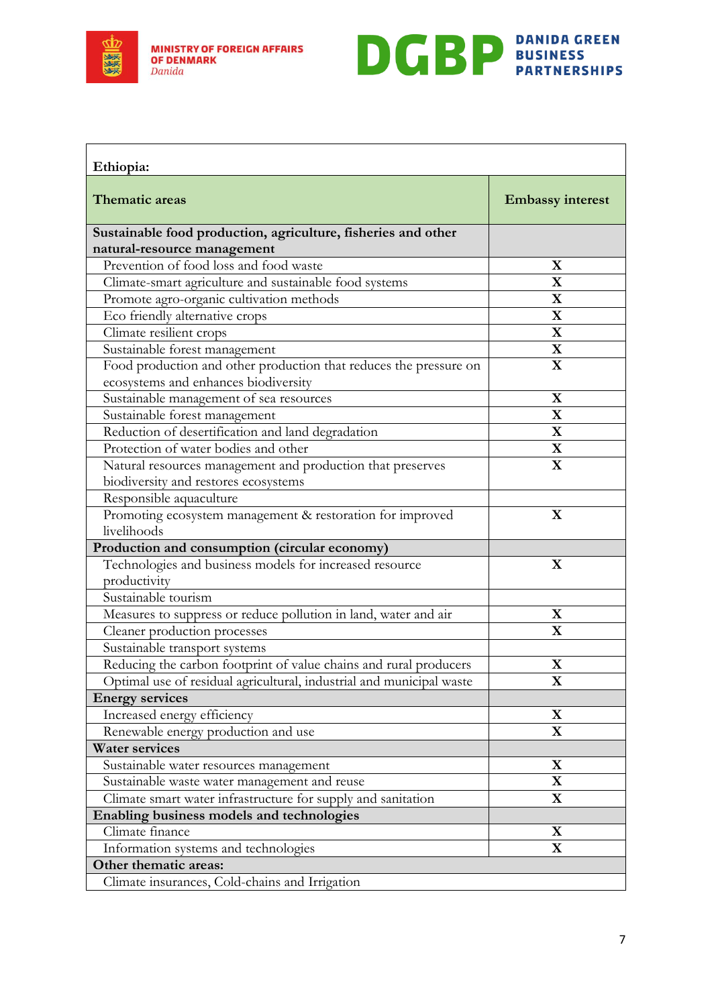



<span id="page-6-0"></span>

| Ethiopia:                                                                                                 |                         |
|-----------------------------------------------------------------------------------------------------------|-------------------------|
| <b>Thematic areas</b>                                                                                     | <b>Embassy interest</b> |
| Sustainable food production, agriculture, fisheries and other                                             |                         |
| natural-resource management                                                                               |                         |
| Prevention of food loss and food waste                                                                    | X                       |
| Climate-smart agriculture and sustainable food systems                                                    | $\mathbf X$             |
| Promote agro-organic cultivation methods                                                                  | $\overline{\mathbf{X}}$ |
| Eco friendly alternative crops                                                                            | $\mathbf X$             |
| Climate resilient crops                                                                                   | $\mathbf X$             |
| Sustainable forest management                                                                             | $\mathbf X$             |
| Food production and other production that reduces the pressure on<br>ecosystems and enhances biodiversity | $\mathbf X$             |
| Sustainable management of sea resources                                                                   | $\mathbf X$             |
| Sustainable forest management                                                                             | $\mathbf X$             |
| Reduction of desertification and land degradation                                                         | $\mathbf X$             |
| Protection of water bodies and other                                                                      | $\mathbf X$             |
| Natural resources management and production that preserves                                                | $\mathbf X$             |
| biodiversity and restores ecosystems                                                                      |                         |
| Responsible aquaculture                                                                                   |                         |
| Promoting ecosystem management & restoration for improved                                                 | X                       |
| livelihoods                                                                                               |                         |
| Production and consumption (circular economy)                                                             |                         |
| Technologies and business models for increased resource                                                   | X                       |
| productivity                                                                                              |                         |
| Sustainable tourism                                                                                       |                         |
| Measures to suppress or reduce pollution in land, water and air                                           | $\mathbf X$             |
| Cleaner production processes                                                                              | $\mathbf X$             |
| Sustainable transport systems                                                                             |                         |
| Reducing the carbon footprint of value chains and rural producers                                         | $\mathbf X$             |
| Optimal use of residual agricultural, industrial and municipal waste                                      | $\mathbf X$             |
| <b>Energy services</b>                                                                                    |                         |
| Increased energy efficiency                                                                               | $\mathbf X$             |
| Renewable energy production and use                                                                       | $\mathbf X$             |
| <b>Water services</b>                                                                                     |                         |
| Sustainable water resources management                                                                    | $\mathbf X$             |
| Sustainable waste water management and reuse                                                              | $\mathbf X$             |
| Climate smart water infrastructure for supply and sanitation                                              | $\mathbf X$             |
| Enabling business models and technologies                                                                 |                         |
| Climate finance                                                                                           | X                       |
| Information systems and technologies                                                                      | $\mathbf X$             |
| Other thematic areas:                                                                                     |                         |
| Climate insurances, Cold-chains and Irrigation                                                            |                         |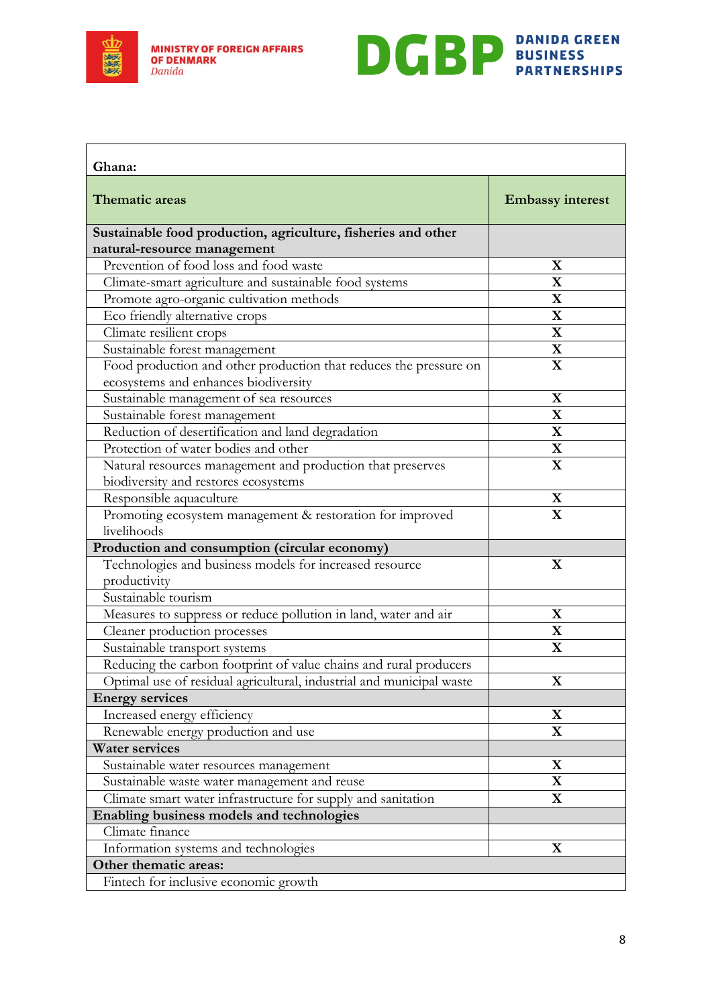



<span id="page-7-0"></span>

| Ghana:                                                                                       |                         |
|----------------------------------------------------------------------------------------------|-------------------------|
| Thematic areas                                                                               | <b>Embassy interest</b> |
| Sustainable food production, agriculture, fisheries and other<br>natural-resource management |                         |
| Prevention of food loss and food waste                                                       | X                       |
| Climate-smart agriculture and sustainable food systems                                       | $\mathbf X$             |
| Promote agro-organic cultivation methods                                                     | $\mathbf X$             |
| Eco friendly alternative crops                                                               | $\mathbf X$             |
| Climate resilient crops                                                                      | $\mathbf X$             |
| Sustainable forest management                                                                | $\mathbf X$             |
| Food production and other production that reduces the pressure on                            | $\mathbf X$             |
| ecosystems and enhances biodiversity                                                         |                         |
| Sustainable management of sea resources                                                      | $\mathbf X$             |
| Sustainable forest management                                                                | $\mathbf X$             |
| Reduction of desertification and land degradation                                            | $\mathbf X$             |
| Protection of water bodies and other                                                         | $\mathbf X$             |
| Natural resources management and production that preserves                                   | $\mathbf X$             |
| biodiversity and restores ecosystems                                                         |                         |
| Responsible aquaculture                                                                      | $\mathbf X$             |
| Promoting ecosystem management & restoration for improved                                    | $\overline{\mathbf{X}}$ |
| livelihoods                                                                                  |                         |
| Production and consumption (circular economy)                                                |                         |
| Technologies and business models for increased resource<br>productivity                      | $\mathbf X$             |
| Sustainable tourism                                                                          |                         |
| Measures to suppress or reduce pollution in land, water and air                              | X                       |
| Cleaner production processes                                                                 | $\mathbf X$             |
| Sustainable transport systems                                                                | $\mathbf X$             |
| Reducing the carbon footprint of value chains and rural producers                            |                         |
| Optimal use of residual agricultural, industrial and municipal waste                         | X                       |
| <b>Energy services</b>                                                                       |                         |
| Increased energy efficiency                                                                  | $\mathbf X$             |
| Renewable energy production and use                                                          | $\mathbf X$             |
| <b>Water services</b>                                                                        |                         |
| Sustainable water resources management                                                       | $\mathbf X$             |
| Sustainable waste water management and reuse                                                 | $\mathbf X$             |
| Climate smart water infrastructure for supply and sanitation                                 | $\mathbf X$             |
| Enabling business models and technologies                                                    |                         |
| Climate finance                                                                              |                         |
| Information systems and technologies                                                         | $\mathbf X$             |
| Other thematic areas:                                                                        |                         |
| Fintech for inclusive economic growth                                                        |                         |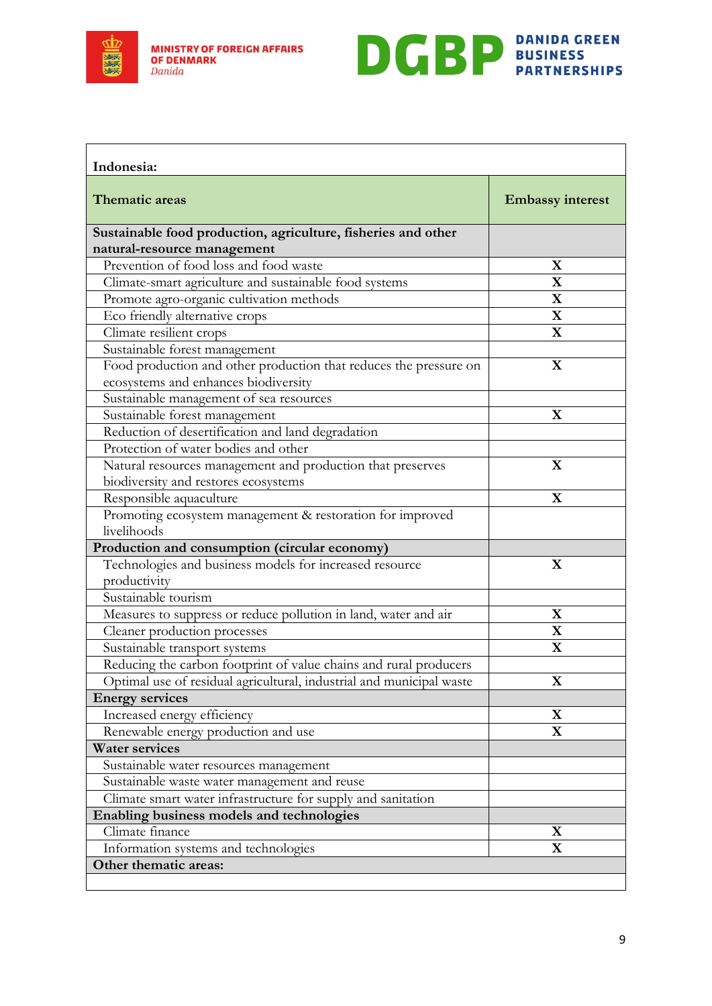



<span id="page-8-0"></span>

| Indonesia:                                                                                   |                         |
|----------------------------------------------------------------------------------------------|-------------------------|
| <b>Thematic areas</b>                                                                        | <b>Embassy interest</b> |
| Sustainable food production, agriculture, fisheries and other<br>natural-resource management |                         |
| Prevention of food loss and food waste                                                       | X                       |
| Climate-smart agriculture and sustainable food systems                                       | $\mathbf X$             |
| Promote agro-organic cultivation methods                                                     | $\mathbf X$             |
| Eco friendly alternative crops                                                               | $\mathbf X$             |
| Climate resilient crops                                                                      | $\overline{\mathbf{X}}$ |
| Sustainable forest management                                                                |                         |
| Food production and other production that reduces the pressure on                            | $\mathbf X$             |
| ecosystems and enhances biodiversity                                                         |                         |
| Sustainable management of sea resources                                                      |                         |
| Sustainable forest management                                                                | $\mathbf X$             |
| Reduction of desertification and land degradation                                            |                         |
| Protection of water bodies and other                                                         |                         |
| Natural resources management and production that preserves                                   | $\mathbf X$             |
| biodiversity and restores ecosystems                                                         |                         |
| Responsible aquaculture                                                                      | $\mathbf X$             |
| Promoting ecosystem management & restoration for improved                                    |                         |
| livelihoods                                                                                  |                         |
| Production and consumption (circular economy)                                                |                         |
| Technologies and business models for increased resource                                      | X                       |
| productivity                                                                                 |                         |
| Sustainable tourism                                                                          |                         |
| Measures to suppress or reduce pollution in land, water and air                              | $\mathbf X$             |
| Cleaner production processes                                                                 | $\mathbf X$             |
| Sustainable transport systems                                                                | $\mathbf X$             |
| Reducing the carbon footprint of value chains and rural producers                            |                         |
| Optimal use of residual agricultural, industrial and municipal waste                         | $\bf{X}$                |
| <b>Energy services</b>                                                                       |                         |
| Increased energy efficiency                                                                  | $\mathbf X$             |
| Renewable energy production and use                                                          | $\mathbf X$             |
| <b>Water services</b>                                                                        |                         |
| Sustainable water resources management                                                       |                         |
| Sustainable waste water management and reuse                                                 |                         |
| Climate smart water infrastructure for supply and sanitation                                 |                         |
| Enabling business models and technologies                                                    |                         |
| Climate finance                                                                              | X                       |
| Information systems and technologies                                                         | $\mathbf X$             |
| Other thematic areas:                                                                        |                         |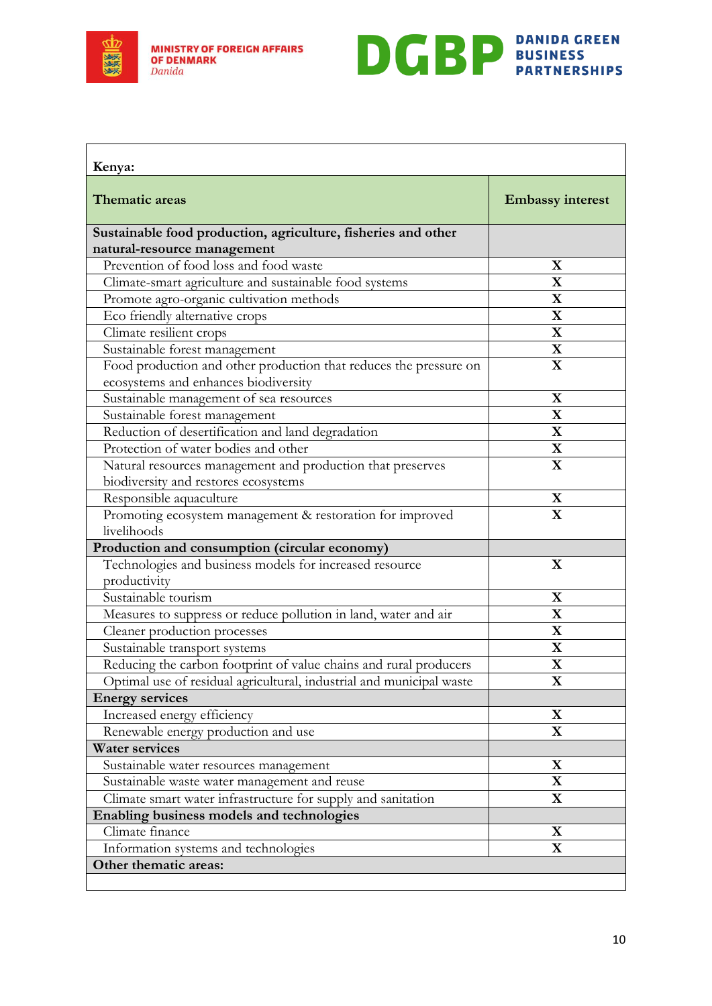



<span id="page-9-0"></span>

| Kenya:                                                                                                    |                         |
|-----------------------------------------------------------------------------------------------------------|-------------------------|
| <b>Thematic areas</b>                                                                                     | <b>Embassy interest</b> |
| Sustainable food production, agriculture, fisheries and other                                             |                         |
| natural-resource management                                                                               |                         |
| Prevention of food loss and food waste                                                                    | X                       |
| Climate-smart agriculture and sustainable food systems                                                    | $\mathbf X$             |
| Promote agro-organic cultivation methods                                                                  | $\mathbf X$             |
| Eco friendly alternative crops                                                                            | $\mathbf X$             |
| Climate resilient crops                                                                                   | $\mathbf X$             |
| Sustainable forest management                                                                             | $\overline{\mathbf{X}}$ |
| Food production and other production that reduces the pressure on<br>ecosystems and enhances biodiversity | $\mathbf X$             |
| Sustainable management of sea resources                                                                   | $\mathbf X$             |
| Sustainable forest management                                                                             | $\mathbf X$             |
| Reduction of desertification and land degradation                                                         | $\mathbf X$             |
| Protection of water bodies and other                                                                      | $\mathbf X$             |
| Natural resources management and production that preserves                                                | $\mathbf X$             |
| biodiversity and restores ecosystems                                                                      |                         |
| Responsible aquaculture                                                                                   | $\mathbf X$             |
| Promoting ecosystem management & restoration for improved                                                 | $\mathbf X$             |
| livelihoods                                                                                               |                         |
| Production and consumption (circular economy)                                                             |                         |
| Technologies and business models for increased resource<br>productivity                                   | $\mathbf X$             |
| Sustainable tourism                                                                                       | $\mathbf X$             |
| Measures to suppress or reduce pollution in land, water and air                                           | $\mathbf X$             |
| Cleaner production processes                                                                              | $\mathbf X$             |
| Sustainable transport systems                                                                             | $\mathbf X$             |
| Reducing the carbon footprint of value chains and rural producers                                         | $\overline{\mathbf{X}}$ |
| Optimal use of residual agricultural, industrial and municipal waste                                      | $\bf{X}$                |
| <b>Energy services</b>                                                                                    |                         |
| Increased energy efficiency                                                                               | $\mathbf X$             |
| Renewable energy production and use                                                                       | $\mathbf X$             |
| <b>Water services</b>                                                                                     |                         |
| Sustainable water resources management                                                                    | $\mathbf X$             |
| Sustainable waste water management and reuse                                                              | $\mathbf X$             |
| Climate smart water infrastructure for supply and sanitation                                              | $\mathbf X$             |
| Enabling business models and technologies                                                                 |                         |
| Climate finance                                                                                           | X                       |
| Information systems and technologies                                                                      | $\mathbf X$             |
| Other thematic areas:                                                                                     |                         |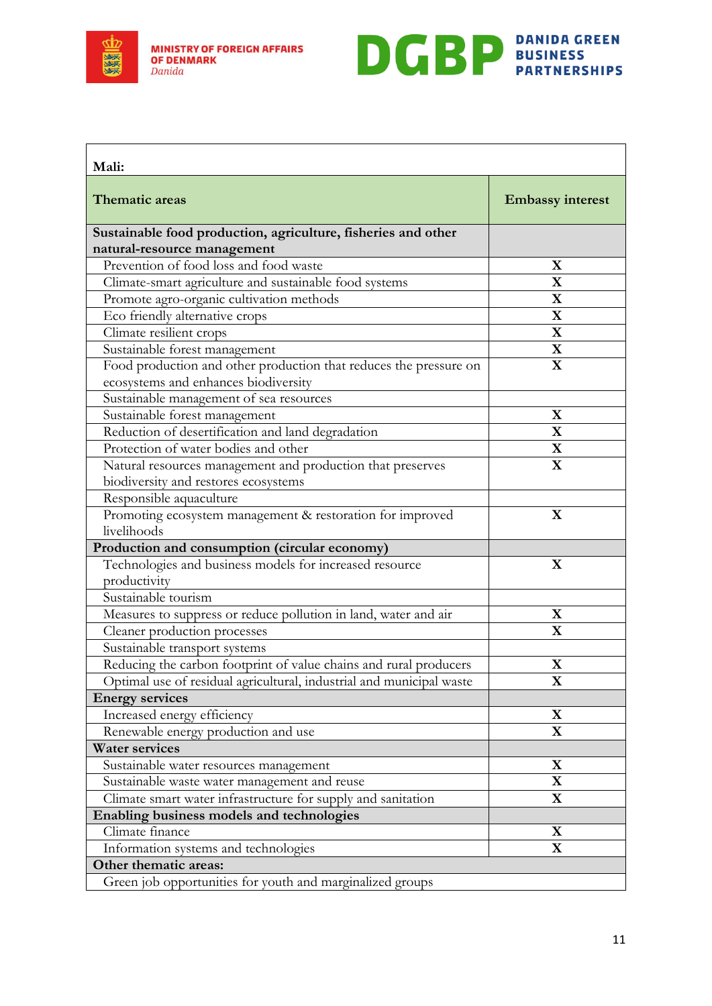



<span id="page-10-0"></span>

| Mali:                                                                                        |                         |
|----------------------------------------------------------------------------------------------|-------------------------|
| <b>Thematic areas</b>                                                                        | <b>Embassy interest</b> |
| Sustainable food production, agriculture, fisheries and other<br>natural-resource management |                         |
| Prevention of food loss and food waste                                                       | X                       |
| Climate-smart agriculture and sustainable food systems                                       | $\mathbf X$             |
| Promote agro-organic cultivation methods                                                     | $\mathbf X$             |
| Eco friendly alternative crops                                                               | $\mathbf X$             |
| Climate resilient crops                                                                      | $\mathbf X$             |
| Sustainable forest management                                                                | $\mathbf X$             |
| Food production and other production that reduces the pressure on                            | $\mathbf X$             |
| ecosystems and enhances biodiversity                                                         |                         |
| Sustainable management of sea resources                                                      |                         |
| Sustainable forest management                                                                | X                       |
| Reduction of desertification and land degradation                                            | $\mathbf X$             |
| Protection of water bodies and other                                                         | $\mathbf X$             |
| Natural resources management and production that preserves                                   | $\mathbf X$             |
| biodiversity and restores ecosystems                                                         |                         |
| Responsible aquaculture                                                                      |                         |
| Promoting ecosystem management & restoration for improved                                    | $\mathbf X$             |
| livelihoods                                                                                  |                         |
| Production and consumption (circular economy)                                                |                         |
| Technologies and business models for increased resource                                      | $\mathbf X$             |
| productivity                                                                                 |                         |
| Sustainable tourism                                                                          |                         |
| Measures to suppress or reduce pollution in land, water and air                              | X                       |
| Cleaner production processes                                                                 | $\overline{\mathbf{X}}$ |
| Sustainable transport systems                                                                |                         |
| Reducing the carbon footprint of value chains and rural producers                            | $\mathbf X$             |
| Optimal use of residual agricultural, industrial and municipal waste                         | X                       |
| <b>Energy services</b>                                                                       |                         |
| Increased energy efficiency                                                                  | $\mathbf X$             |
| Renewable energy production and use                                                          | $\mathbf X$             |
| <b>Water services</b>                                                                        |                         |
| Sustainable water resources management                                                       | $\mathbf X$             |
| Sustainable waste water management and reuse                                                 | $\mathbf X$             |
| Climate smart water infrastructure for supply and sanitation                                 | $\mathbf X$             |
| Enabling business models and technologies                                                    |                         |
| Climate finance                                                                              | X                       |
| Information systems and technologies                                                         | $\mathbf X$             |
| Other thematic areas:                                                                        |                         |
| Green job opportunities for youth and marginalized groups                                    |                         |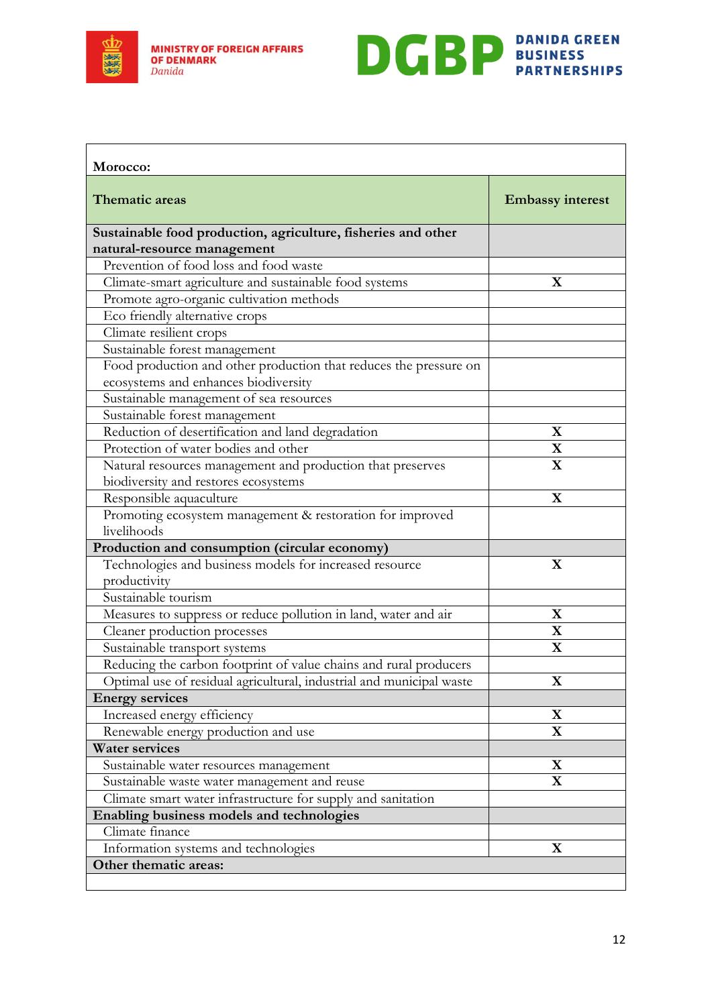



<span id="page-11-0"></span>

| Morocco:                                                             |                         |
|----------------------------------------------------------------------|-------------------------|
| <b>Thematic areas</b>                                                | <b>Embassy interest</b> |
| Sustainable food production, agriculture, fisheries and other        |                         |
| natural-resource management                                          |                         |
| Prevention of food loss and food waste                               |                         |
| Climate-smart agriculture and sustainable food systems               | $\mathbf X$             |
| Promote agro-organic cultivation methods                             |                         |
| Eco friendly alternative crops                                       |                         |
| Climate resilient crops                                              |                         |
| Sustainable forest management                                        |                         |
| Food production and other production that reduces the pressure on    |                         |
| ecosystems and enhances biodiversity                                 |                         |
| Sustainable management of sea resources                              |                         |
| Sustainable forest management                                        |                         |
| Reduction of desertification and land degradation                    | X                       |
| Protection of water bodies and other                                 | $\mathbf X$             |
| Natural resources management and production that preserves           | $\mathbf X$             |
| biodiversity and restores ecosystems                                 |                         |
| Responsible aquaculture                                              | $\mathbf X$             |
| Promoting ecosystem management & restoration for improved            |                         |
| livelihoods                                                          |                         |
| Production and consumption (circular economy)                        |                         |
| Technologies and business models for increased resource              | X                       |
| productivity                                                         |                         |
| Sustainable tourism                                                  |                         |
| Measures to suppress or reduce pollution in land, water and air      | $\mathbf X$             |
| Cleaner production processes                                         | $\mathbf X$             |
| Sustainable transport systems                                        | $\mathbf X$             |
| Reducing the carbon footprint of value chains and rural producers    |                         |
| Optimal use of residual agricultural, industrial and municipal waste | $\bf{X}$                |
| <b>Energy services</b>                                               |                         |
| Increased energy efficiency                                          | $\mathbf X$             |
| Renewable energy production and use                                  | $\mathbf X$             |
| <b>Water services</b>                                                |                         |
| Sustainable water resources management                               | $\mathbf X$             |
| Sustainable waste water management and reuse                         | $\mathbf X$             |
| Climate smart water infrastructure for supply and sanitation         |                         |
| Enabling business models and technologies                            |                         |
| Climate finance                                                      |                         |
| Information systems and technologies                                 | $\mathbf X$             |
| Other thematic areas:                                                |                         |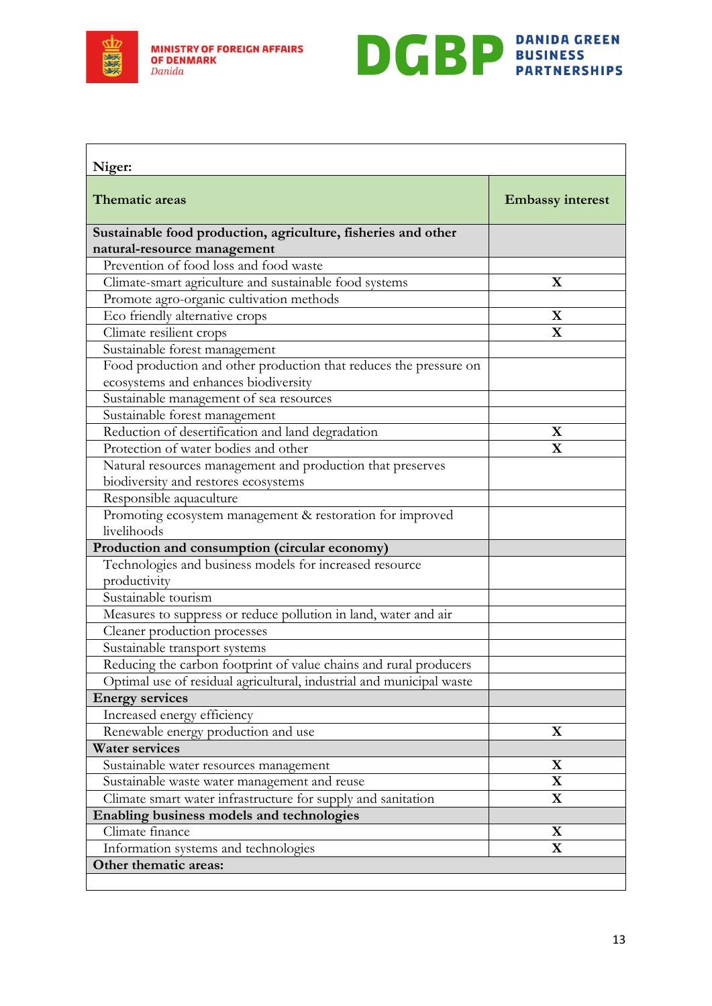

<span id="page-12-0"></span>**r** 

**MINISTRY OF FOREIGN AFFAIRS OF DENMARK** Danida



٦

| Niger:                                                               |                         |
|----------------------------------------------------------------------|-------------------------|
| Thematic areas                                                       | <b>Embassy interest</b> |
| Sustainable food production, agriculture, fisheries and other        |                         |
| natural-resource management                                          |                         |
| Prevention of food loss and food waste                               |                         |
| Climate-smart agriculture and sustainable food systems               | X                       |
| Promote agro-organic cultivation methods                             |                         |
| Eco friendly alternative crops                                       | $\mathbf X$             |
| Climate resilient crops                                              | $\mathbf X$             |
| Sustainable forest management                                        |                         |
| Food production and other production that reduces the pressure on    |                         |
| ecosystems and enhances biodiversity                                 |                         |
| Sustainable management of sea resources                              |                         |
| Sustainable forest management                                        |                         |
| Reduction of desertification and land degradation                    | X                       |
| Protection of water bodies and other                                 | $\mathbf{X}$            |
| Natural resources management and production that preserves           |                         |
| biodiversity and restores ecosystems                                 |                         |
| Responsible aquaculture                                              |                         |
| Promoting ecosystem management & restoration for improved            |                         |
| livelihoods                                                          |                         |
| Production and consumption (circular economy)                        |                         |
| Technologies and business models for increased resource              |                         |
| productivity                                                         |                         |
| Sustainable tourism                                                  |                         |
| Measures to suppress or reduce pollution in land, water and air      |                         |
| Cleaner production processes                                         |                         |
| Sustainable transport systems                                        |                         |
| Reducing the carbon footprint of value chains and rural producers    |                         |
| Optimal use of residual agricultural, industrial and municipal waste |                         |
| <b>Energy services</b>                                               |                         |
| Increased energy efficiency                                          |                         |
| Renewable energy production and use                                  | $\mathbf X$             |
| <b>Water services</b>                                                |                         |
| Sustainable water resources management                               | $\mathbf X$             |
| Sustainable waste water management and reuse                         | $\mathbf X$             |
| Climate smart water infrastructure for supply and sanitation         | $\mathbf X$             |
| Enabling business models and technologies                            |                         |
| Climate finance                                                      | $\mathbf X$             |
| Information systems and technologies                                 | $\mathbf X$             |
| Other thematic areas:                                                |                         |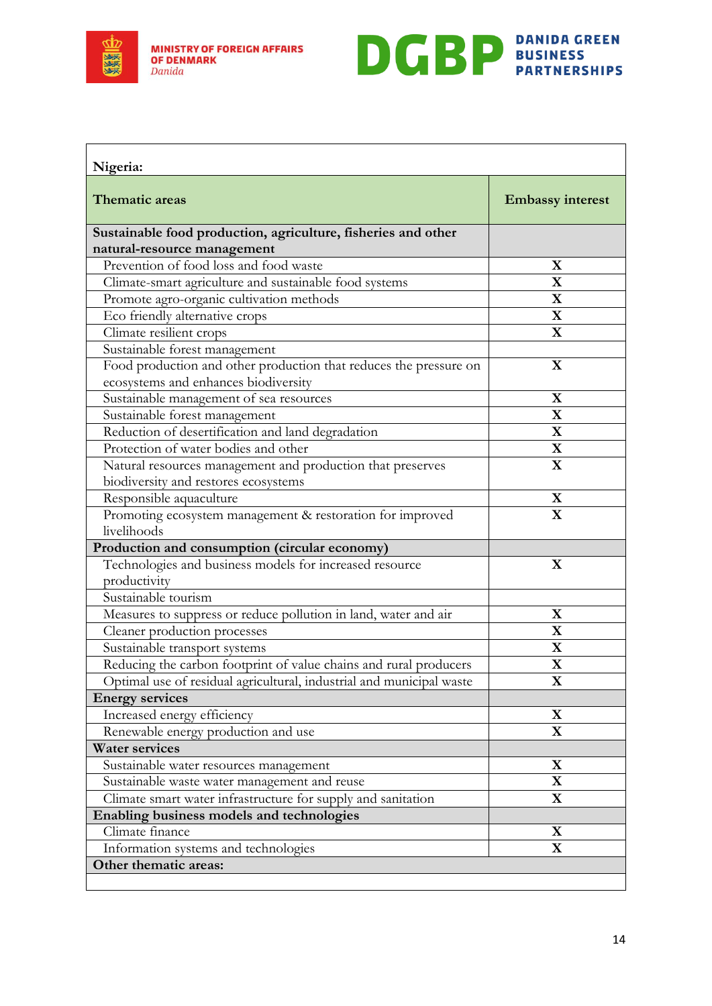



<span id="page-13-0"></span>

| Nigeria:                                                                                                  |                         |
|-----------------------------------------------------------------------------------------------------------|-------------------------|
| <b>Thematic areas</b>                                                                                     | <b>Embassy interest</b> |
| Sustainable food production, agriculture, fisheries and other                                             |                         |
| natural-resource management                                                                               |                         |
| Prevention of food loss and food waste                                                                    | X                       |
| Climate-smart agriculture and sustainable food systems                                                    | $\mathbf X$             |
| Promote agro-organic cultivation methods                                                                  | $\mathbf X$             |
| Eco friendly alternative crops                                                                            | $\mathbf X$             |
| Climate resilient crops                                                                                   | $\mathbf X$             |
| Sustainable forest management                                                                             |                         |
| Food production and other production that reduces the pressure on<br>ecosystems and enhances biodiversity | $\mathbf X$             |
| Sustainable management of sea resources                                                                   | $\mathbf X$             |
| Sustainable forest management                                                                             | $\mathbf X$             |
| Reduction of desertification and land degradation                                                         | $\mathbf X$             |
| Protection of water bodies and other                                                                      | $\mathbf X$             |
| Natural resources management and production that preserves                                                | $\mathbf X$             |
| biodiversity and restores ecosystems                                                                      |                         |
| Responsible aquaculture                                                                                   | $\mathbf X$             |
| Promoting ecosystem management & restoration for improved                                                 | $\mathbf X$             |
| livelihoods                                                                                               |                         |
| Production and consumption (circular economy)                                                             |                         |
| Technologies and business models for increased resource                                                   | $\mathbf X$             |
| productivity                                                                                              |                         |
| Sustainable tourism                                                                                       |                         |
| Measures to suppress or reduce pollution in land, water and air                                           | $\mathbf X$             |
| Cleaner production processes                                                                              | $\mathbf X$             |
| Sustainable transport systems                                                                             | $\mathbf X$             |
| Reducing the carbon footprint of value chains and rural producers                                         | $\overline{\mathbf{X}}$ |
| Optimal use of residual agricultural, industrial and municipal waste                                      | $\bf{X}$                |
| <b>Energy services</b>                                                                                    |                         |
| Increased energy efficiency                                                                               | $\mathbf X$             |
| Renewable energy production and use                                                                       | $\mathbf X$             |
| <b>Water services</b>                                                                                     |                         |
| Sustainable water resources management                                                                    | $\mathbf X$             |
| Sustainable waste water management and reuse                                                              | $\mathbf X$             |
| Climate smart water infrastructure for supply and sanitation                                              | $\mathbf X$             |
| Enabling business models and technologies                                                                 |                         |
| Climate finance                                                                                           | X                       |
| Information systems and technologies                                                                      | $\mathbf X$             |
| Other thematic areas:                                                                                     |                         |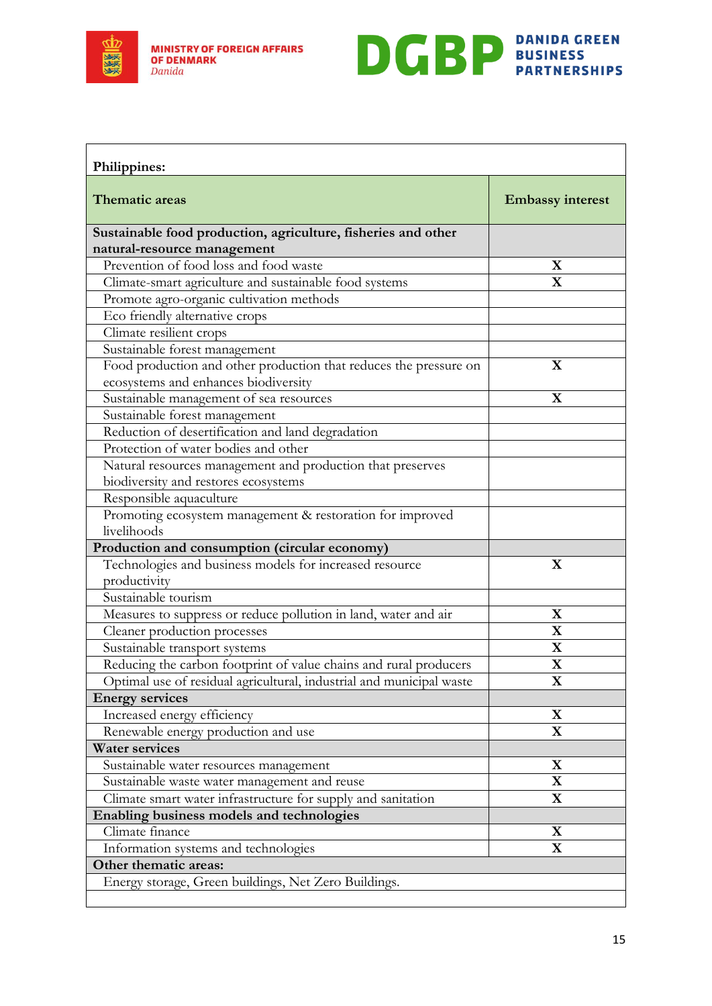



<span id="page-14-0"></span>

| Philippines:                                                         |                         |
|----------------------------------------------------------------------|-------------------------|
| <b>Thematic areas</b>                                                | <b>Embassy interest</b> |
| Sustainable food production, agriculture, fisheries and other        |                         |
| natural-resource management                                          |                         |
| Prevention of food loss and food waste                               | X                       |
| Climate-smart agriculture and sustainable food systems               | $\mathbf X$             |
| Promote agro-organic cultivation methods                             |                         |
| Eco friendly alternative crops                                       |                         |
| Climate resilient crops                                              |                         |
| Sustainable forest management                                        |                         |
| Food production and other production that reduces the pressure on    | X                       |
| ecosystems and enhances biodiversity                                 |                         |
| Sustainable management of sea resources                              | $\mathbf X$             |
| Sustainable forest management                                        |                         |
| Reduction of desertification and land degradation                    |                         |
| Protection of water bodies and other                                 |                         |
| Natural resources management and production that preserves           |                         |
| biodiversity and restores ecosystems                                 |                         |
| Responsible aquaculture                                              |                         |
| Promoting ecosystem management & restoration for improved            |                         |
| livelihoods                                                          |                         |
| Production and consumption (circular economy)                        |                         |
| Technologies and business models for increased resource              | X                       |
| productivity                                                         |                         |
| Sustainable tourism                                                  |                         |
| Measures to suppress or reduce pollution in land, water and air      | $\mathbf X$             |
| Cleaner production processes                                         | $\mathbf X$             |
| Sustainable transport systems                                        | $\mathbf X$             |
| Reducing the carbon footprint of value chains and rural producers    | $\mathbf X$             |
| Optimal use of residual agricultural, industrial and municipal waste | $\bf{X}$                |
| <b>Energy services</b>                                               |                         |
| Increased energy efficiency                                          | $\mathbf X$             |
| Renewable energy production and use                                  | $\mathbf X$             |
| <b>Water services</b>                                                |                         |
| Sustainable water resources management                               | $\mathbf X$             |
| Sustainable waste water management and reuse                         | $\mathbf X$             |
| Climate smart water infrastructure for supply and sanitation         | $\mathbf X$             |
| Enabling business models and technologies                            |                         |
| Climate finance                                                      | X                       |
| Information systems and technologies                                 | $\mathbf X$             |
| Other thematic areas:                                                |                         |
| Energy storage, Green buildings, Net Zero Buildings.                 |                         |
|                                                                      |                         |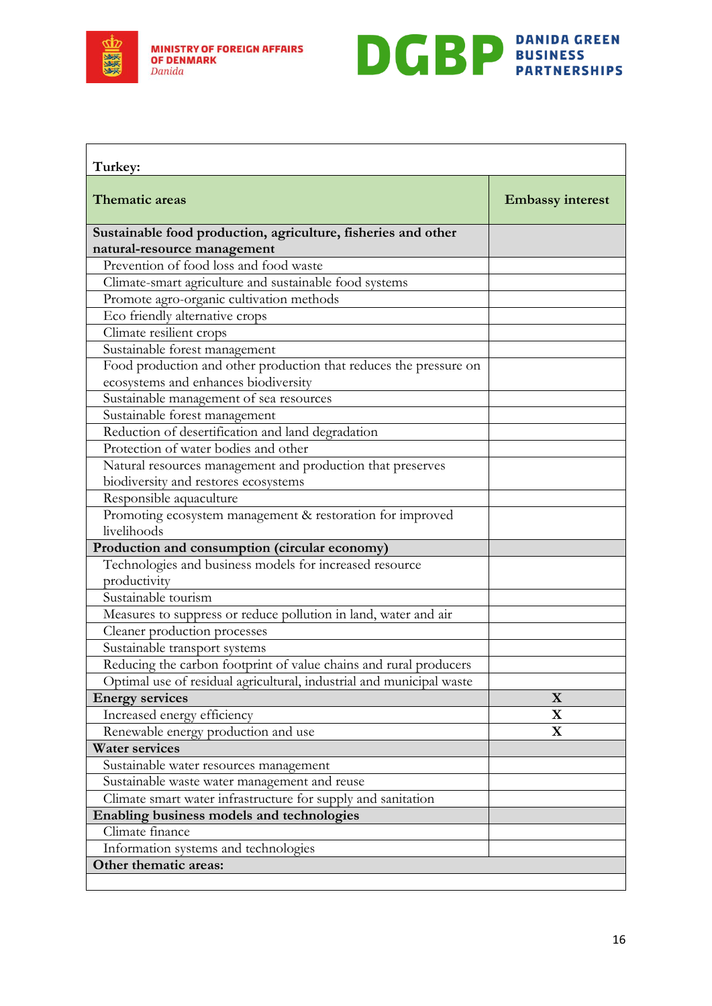

 $\mathsf{r}$ 



<span id="page-15-0"></span>

| Turkey:                                                              |                         |
|----------------------------------------------------------------------|-------------------------|
| Thematic areas                                                       | <b>Embassy interest</b> |
| Sustainable food production, agriculture, fisheries and other        |                         |
| natural-resource management                                          |                         |
| Prevention of food loss and food waste                               |                         |
| Climate-smart agriculture and sustainable food systems               |                         |
| Promote agro-organic cultivation methods                             |                         |
| Eco friendly alternative crops                                       |                         |
| Climate resilient crops                                              |                         |
| Sustainable forest management                                        |                         |
| Food production and other production that reduces the pressure on    |                         |
| ecosystems and enhances biodiversity                                 |                         |
| Sustainable management of sea resources                              |                         |
| Sustainable forest management                                        |                         |
| Reduction of desertification and land degradation                    |                         |
| Protection of water bodies and other                                 |                         |
| Natural resources management and production that preserves           |                         |
| biodiversity and restores ecosystems                                 |                         |
| Responsible aquaculture                                              |                         |
| Promoting ecosystem management & restoration for improved            |                         |
| livelihoods                                                          |                         |
| Production and consumption (circular economy)                        |                         |
| Technologies and business models for increased resource              |                         |
| productivity                                                         |                         |
| Sustainable tourism                                                  |                         |
| Measures to suppress or reduce pollution in land, water and air      |                         |
| Cleaner production processes                                         |                         |
| Sustainable transport systems                                        |                         |
| Reducing the carbon footprint of value chains and rural producers    |                         |
| Optimal use of residual agricultural, industrial and municipal waste |                         |
| <b>Energy services</b>                                               | $\mathbf{X}$            |
| Increased energy efficiency                                          | X                       |
| Renewable energy production and use                                  | $\mathbf X$             |
| <b>Water services</b>                                                |                         |
| Sustainable water resources management                               |                         |
| Sustainable waste water management and reuse                         |                         |
| Climate smart water infrastructure for supply and sanitation         |                         |
| Enabling business models and technologies                            |                         |
| Climate finance                                                      |                         |
| Information systems and technologies                                 |                         |
| Other thematic areas:                                                |                         |
|                                                                      |                         |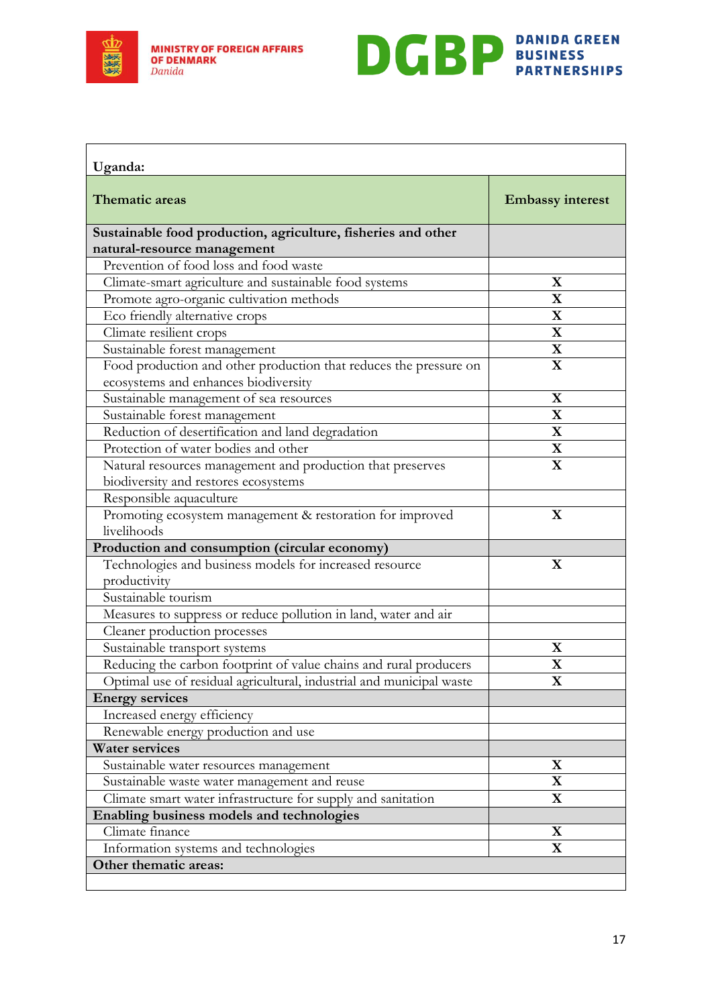



<span id="page-16-0"></span>

| Uganda:                                                                                                   |                         |
|-----------------------------------------------------------------------------------------------------------|-------------------------|
| <b>Thematic areas</b>                                                                                     | <b>Embassy interest</b> |
| Sustainable food production, agriculture, fisheries and other                                             |                         |
| natural-resource management                                                                               |                         |
| Prevention of food loss and food waste                                                                    |                         |
| Climate-smart agriculture and sustainable food systems                                                    | $\mathbf X$             |
| Promote agro-organic cultivation methods                                                                  | $\mathbf X$             |
| Eco friendly alternative crops                                                                            | $\mathbf X$             |
| Climate resilient crops                                                                                   | $\mathbf X$             |
| Sustainable forest management                                                                             | $\overline{\mathbf{X}}$ |
| Food production and other production that reduces the pressure on<br>ecosystems and enhances biodiversity | $\mathbf X$             |
| Sustainable management of sea resources                                                                   | $\mathbf X$             |
| Sustainable forest management                                                                             | $\mathbf X$             |
| Reduction of desertification and land degradation                                                         | $\mathbf X$             |
| Protection of water bodies and other                                                                      | $\mathbf X$             |
| Natural resources management and production that preserves                                                | $\mathbf X$             |
| biodiversity and restores ecosystems                                                                      |                         |
| Responsible aquaculture                                                                                   |                         |
| Promoting ecosystem management & restoration for improved                                                 | $\mathbf X$             |
| livelihoods                                                                                               |                         |
| Production and consumption (circular economy)                                                             |                         |
| Technologies and business models for increased resource                                                   | $\mathbf X$             |
| productivity                                                                                              |                         |
| Sustainable tourism                                                                                       |                         |
| Measures to suppress or reduce pollution in land, water and air                                           |                         |
| Cleaner production processes                                                                              |                         |
| Sustainable transport systems                                                                             | X                       |
| Reducing the carbon footprint of value chains and rural producers                                         | $\mathbf X$             |
| Optimal use of residual agricultural, industrial and municipal waste                                      | $\bf{X}$                |
| <b>Energy services</b>                                                                                    |                         |
| Increased energy efficiency                                                                               |                         |
| Renewable energy production and use                                                                       |                         |
| <b>Water services</b>                                                                                     |                         |
| Sustainable water resources management                                                                    | $\mathbf X$             |
| Sustainable waste water management and reuse                                                              | $\mathbf X$             |
| Climate smart water infrastructure for supply and sanitation                                              | $\mathbf X$             |
| Enabling business models and technologies                                                                 |                         |
| Climate finance                                                                                           | X                       |
| Information systems and technologies                                                                      | $\mathbf X$             |
| Other thematic areas:                                                                                     |                         |